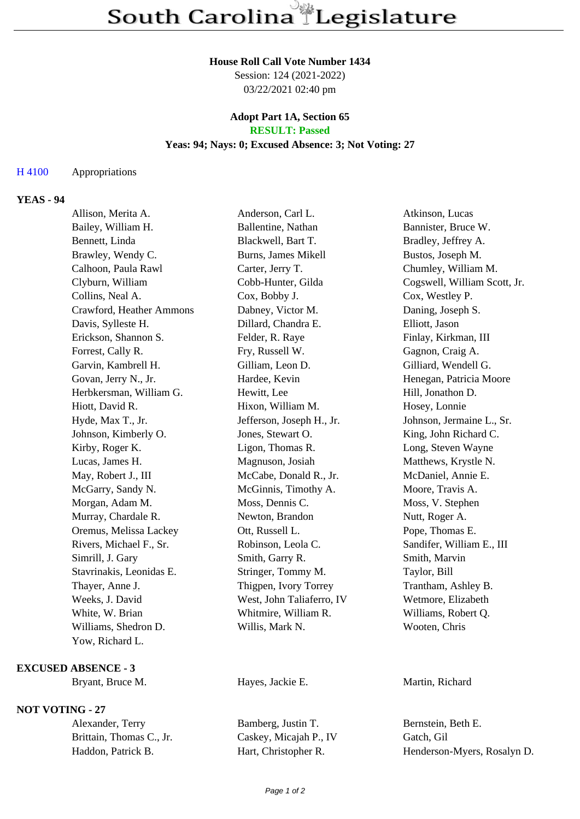#### **House Roll Call Vote Number 1434**

Session: 124 (2021-2022) 03/22/2021 02:40 pm

### **Adopt Part 1A, Section 65 RESULT: Passed**

## **Yeas: 94; Nays: 0; Excused Absence: 3; Not Voting: 27**

### H 4100 Appropriations

# **YEAS - 94**

| Allison, Merita A.       | Anderson, Carl L.          | Atkinson, Lucas              |
|--------------------------|----------------------------|------------------------------|
| Bailey, William H.       | Ballentine, Nathan         | Bannister, Bruce W.          |
| Bennett, Linda           | Blackwell, Bart T.         | Bradley, Jeffrey A.          |
| Brawley, Wendy C.        | <b>Burns, James Mikell</b> | Bustos, Joseph M.            |
| Calhoon, Paula Rawl      | Carter, Jerry T.           | Chumley, William M.          |
| Clyburn, William         | Cobb-Hunter, Gilda         | Cogswell, William Scott, Jr. |
| Collins, Neal A.         | Cox, Bobby J.              | Cox, Westley P.              |
| Crawford, Heather Ammons | Dabney, Victor M.          | Daning, Joseph S.            |
| Davis, Sylleste H.       | Dillard, Chandra E.        | Elliott, Jason               |
| Erickson, Shannon S.     | Felder, R. Raye            | Finlay, Kirkman, III         |
| Forrest, Cally R.        | Fry, Russell W.            | Gagnon, Craig A.             |
| Garvin, Kambrell H.      | Gilliam, Leon D.           | Gilliard, Wendell G.         |
| Govan, Jerry N., Jr.     | Hardee, Kevin              | Henegan, Patricia Moore      |
| Herbkersman, William G.  | Hewitt, Lee                | Hill, Jonathon D.            |
| Hiott, David R.          | Hixon, William M.          | Hosey, Lonnie                |
| Hyde, Max T., Jr.        | Jefferson, Joseph H., Jr.  | Johnson, Jermaine L., Sr.    |
| Johnson, Kimberly O.     | Jones, Stewart O.          | King, John Richard C.        |
| Kirby, Roger K.          | Ligon, Thomas R.           | Long, Steven Wayne           |
| Lucas, James H.          | Magnuson, Josiah           | Matthews, Krystle N.         |
| May, Robert J., III      | McCabe, Donald R., Jr.     | McDaniel, Annie E.           |
| McGarry, Sandy N.        | McGinnis, Timothy A.       | Moore, Travis A.             |
| Morgan, Adam M.          | Moss, Dennis C.            | Moss, V. Stephen             |
| Murray, Chardale R.      | Newton, Brandon            | Nutt, Roger A.               |
| Oremus, Melissa Lackey   | Ott, Russell L.            | Pope, Thomas E.              |
| Rivers, Michael F., Sr.  | Robinson, Leola C.         | Sandifer, William E., III    |
| Simrill, J. Gary         | Smith, Garry R.            | Smith, Marvin                |
| Stavrinakis, Leonidas E. | Stringer, Tommy M.         | Taylor, Bill                 |
| Thayer, Anne J.          | Thigpen, Ivory Torrey      | Trantham, Ashley B.          |
| Weeks, J. David          | West, John Taliaferro, IV  | Wetmore, Elizabeth           |
| White, W. Brian          | Whitmire, William R.       | Williams, Robert Q.          |
| Williams, Shedron D.     | Willis, Mark N.            | Wooten, Chris                |
| Yow, Richard L.          |                            |                              |

# **EXCUSED ABSENCE - 3**

## **NOT VOTING - 27**

Brittain, Thomas C., Jr. Caskey, Micajah P., IV Gatch, Gil

Alexander, Terry Bamberg, Justin T. Bernstein, Beth E.

Bryant, Bruce M. Hayes, Jackie E. Martin, Richard

Haddon, Patrick B. Hart, Christopher R. Henderson-Myers, Rosalyn D.